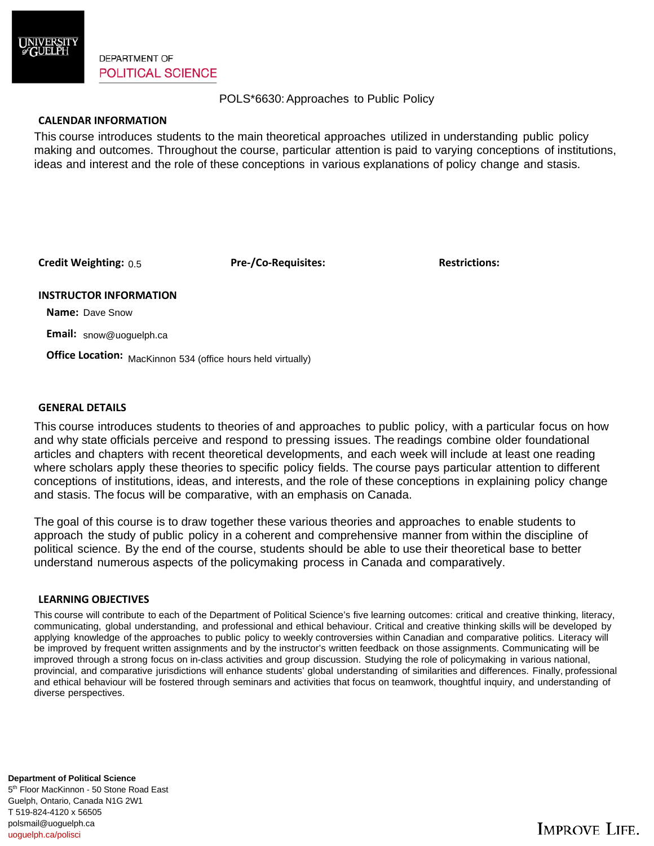

**DEPARTMENT OF POLITICAL SCIENCE** 

POLS\*6630: Approaches to Public Policy

### **CALENDAR INFORMATION**

This course introduces students to the main theoretical approaches utilized in understanding public policy making and outcomes. Throughout the course, particular attention is paid to varying conceptions of institutions, ideas and interest and the role of these conceptions in various explanations of policy change and stasis.

**Credit Weighting: Pre-/Co-Requisites: Restrictions:** 0.5

#### **INSTRUCTOR INFORMATION**

 **Name:** Dave Snow

 **Email:** snow@uoguelph.ca

**Office Location:** MacKinnon 534 (office hours held virtually)

#### **GENERAL DETAILS**

This course introduces students to theories of and approaches to public policy, with a particular focus on how and why state officials perceive and respond to pressing issues. The readings combine older foundational articles and chapters with recent theoretical developments, and each week will include at least one reading where scholars apply these theories to specific policy fields. The course pays particular attention to different conceptions of institutions, ideas, and interests, and the role of these conceptions in explaining policy change and stasis. The focus will be comparative, with an emphasis on Canada.

The goal of this course is to draw together these various theories and approaches to enable students to approach the study of public policy in a coherent and comprehensive manner from within the discipline of political science. By the end of the course, students should be able to use their theoretical base to better understand numerous aspects of the policymaking process in Canada and comparatively.

#### **LEARNING OBJECTIVES**

This course will contribute to each of the Department of Political Science's five learning outcomes: critical and creative thinking, literacy, communicating, global understanding, and professional and ethical behaviour. Critical and creative thinking skills will be developed by applying knowledge of the approaches to public policy to weekly controversies within Canadian and comparative politics. Literacy will be improved by frequent written assignments and by the instructor's written feedback on those assignments. Communicating will be improved through a strong focus on in-class activities and group discussion. Studying the role of policymaking in various national, provincial, and comparative jurisdictions will enhance students' global understanding of similarities and differences. Finally, professional and ethical behaviour will be fostered through seminars and activities that focus on teamwork, thoughtful inquiry, and understanding of diverse perspectives.

5<sup>th</sup> Floor MacKinnon - 50 Stone Road East Guelph, Ontario, Canada N1G 2W1 **Department of Political Science**  T 519-824-4120 x 56505 polsmail@uoguelph.ca uoguelph.ca/polisci

# **IMPROVE LIFE.**